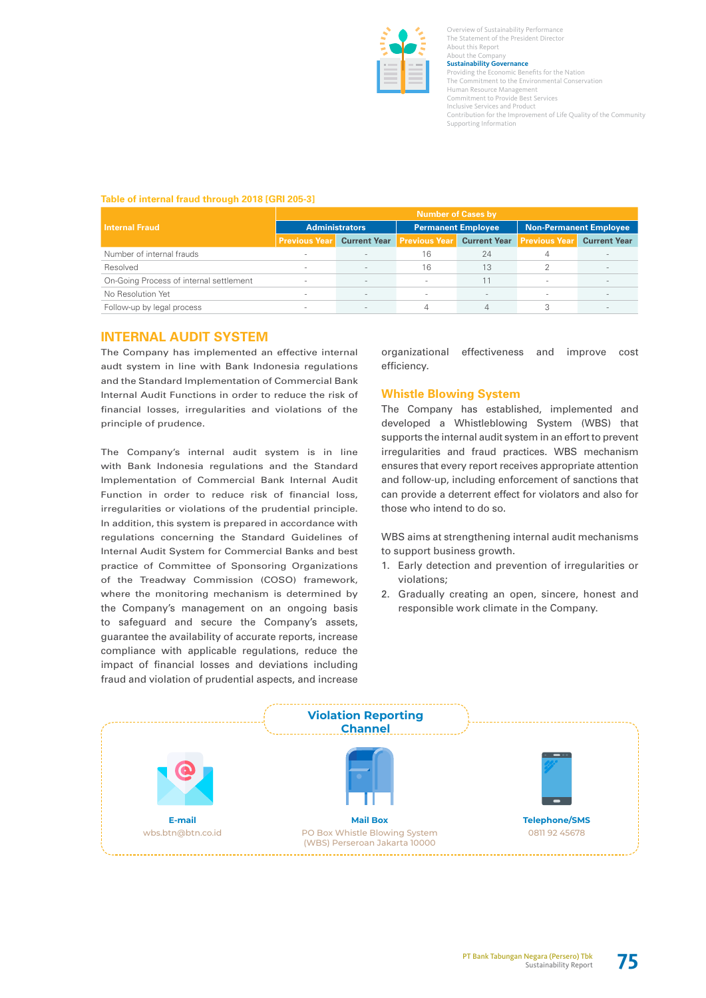

Overview of Sustainability Performance The Statement of the President Director About this Report About the Company **Sustainability Governance**<br>Providing the Economic Ben **Conomic Benefits for the Nation** The Commitment to the Environmental Conservation Human Resource Management Commitment to Provide Best Services Inclusive Services and Product Contribution for the Improvement of Life Quality of the Community Supporting Information

### **Table of internal fraud through 2018 [GRI 205-3]**

|                                         | <b>Number of Cases by</b> |                     |                           |                     |                               |                          |  |  |
|-----------------------------------------|---------------------------|---------------------|---------------------------|---------------------|-------------------------------|--------------------------|--|--|
| <b>Internal Fraud</b>                   | <b>Administrators</b>     |                     | <b>Permanent Employee</b> |                     | <b>Non-Permanent Employee</b> |                          |  |  |
|                                         | <b>Previous Year</b>      | <b>Current Year</b> | <b>Previous Year</b>      | <b>Current Year</b> | <b>Previous Year</b>          | <b>Current Year</b>      |  |  |
| Number of internal frauds               | $\sim$                    | $\sim$              | 16                        | 24                  |                               |                          |  |  |
| Resolved                                | $\sim$                    | $\sim$              | 16                        | 13                  |                               | $\overline{\phantom{a}}$ |  |  |
| On-Going Process of internal settlement | $\sim$                    | $\sim$              | $\sim$                    | 11                  | $\sim$                        |                          |  |  |
| No Resolution Yet                       | $\sim$                    | $\sim$              | $\sim$                    |                     | $\sim$                        |                          |  |  |
| Follow-up by legal process              | $\sim$                    | $\sim$              |                           |                     |                               |                          |  |  |

## **INTERNAL AUDIT SYSTEM**

The Company has implemented an effective internal audt system in line with Bank Indonesia regulations and the Standard Implementation of Commercial Bank Internal Audit Functions in order to reduce the risk of financial losses, irregularities and violations of the principle of prudence.

The Company's internal audit system is in line with Bank Indonesia regulations and the Standard Implementation of Commercial Bank Internal Audit Function in order to reduce risk of financial loss, irregularities or violations of the prudential principle. In addition, this system is prepared in accordance with regulations concerning the Standard Guidelines of Internal Audit System for Commercial Banks and best practice of Committee of Sponsoring Organizations of the Treadway Commission (COSO) framework, where the monitoring mechanism is determined by the Company's management on an ongoing basis to safeguard and secure the Company's assets, guarantee the availability of accurate reports, increase compliance with applicable regulations, reduce the impact of financial losses and deviations including fraud and violation of prudential aspects, and increase

organizational effectiveness and improve cost efficiency.

## **Whistle Blowing System**

The Company has established, implemented and developed a Whistleblowing System (WBS) that supports the internal audit system in an effort to prevent irregularities and fraud practices. WBS mechanism ensures that every report receives appropriate attention and follow-up, including enforcement of sanctions that can provide a deterrent effect for violators and also for those who intend to do so.

WBS aims at strengthening internal audit mechanisms to support business growth.

- 1. Early detection and prevention of irregularities or violations;
- 2. Gradually creating an open, sincere, honest and responsible work climate in the Company.